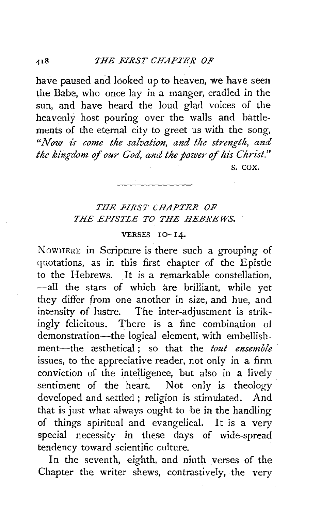have paused and looked up to heaven, we have seen the Babe, who once lay in a manger, cradled in the sun, and have heard the loud glad voices of the heavenly host pouring over the walls and battlements of the eternal city to greet us with the song, *"Now is come the salvation, and the strength, and*  the kingdom of our God, and the power of his Christ."

s. cox.

# *THE FIRST CHAPTER OF*  THE EPISTLE TO THE HEBREWS.

#### VERSES 10-14.

NOWHERE in Scripture is there such a grouping of quotations, as in this first chapter of the Epistle to the Hebrews. It is a remarkable constellation, -- all the stars of which are brilliant, while yet they differ from one another in size, and hue, and intensity of lustre. The inter-adjustment is strikingly felicitous. There is a fine combination of demonstration-the logical element, with embellishment-the *asthetical*; so that the *tout ensemble* issues, to the appreciative reader, not only in a firm conviction of the intelligence, but also in a lively sentiment of the heart. Not only is theology developed and settled ; religion *is* stimulated. And that is just what always ought to be in the handling of things spiritual and evangelical. It is a very special necessity in these days of wide-spread tendency toward scientific culture.

In the seventh, eighth, and ninth verses of the Chapter the writer shews, contrastively, the very

 $418$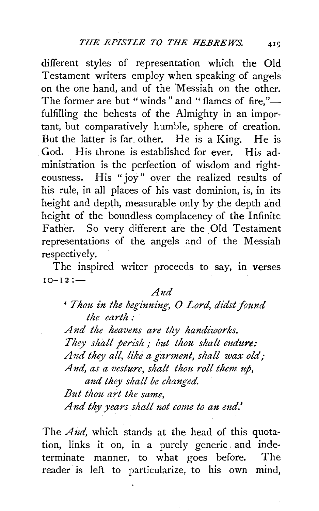different styles of representation which the Old Testament writers employ when speaking of angels on the one hand, and of the 'Messiah on the other. The former are but "winds" and "flames of fire."fulfilling the behests of the Almighty in an important, but comparatively humble, sphere of creation. But the latter is far. other. He is a King. He is . God. His throne is established for ever. His administration is the perfection of wisdom and righteousness. His "joy" over the realized results of his rule, in all places of his vast dominion, is, in its height and depth, measurable only by the depth and height of the boundless complacency of the Infinite Father. So very different are the Old Testament representations of the angels and of the Messiah respectively.

The inspired writer proceeds to say, in verses  $10 - 12 :=$ 

*And* 

' Thou in the beginning, O Lord, didst found *the earth:* 

And the heavens are thy handiworks. *They shall perish; but thou shalt endure:* And they all, like a garment, shall wax old; *And, as a vesture, shalt thou roll them up, and they shall be changed. But thou art the same,* 

*And thy years shall not come to an end.'* 

The *And,* which stands at the head of this quotation, links it on, in a purely generic . and indeterminate manner, to what goes before. The reader is left to particularize, to his own mind,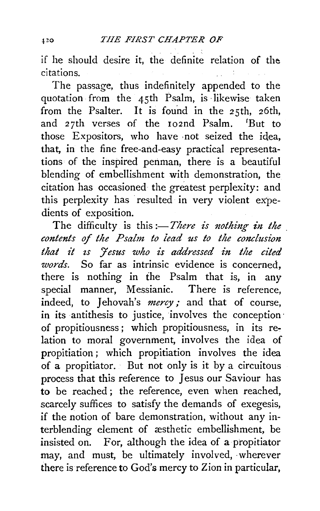if he should desire it, the definite relation of the citations.

The passage, thus indefinitely appended to the quotation from the 45th Psalm, is likewise taken from the Psalter. It is found in the 25th, 26th, and 27th verses of the 102nd Psalm. 1 But to those Expositors, who have not seized the idea, that, in the fine free-and-easy practical representations of the inspired penman, there is a beautiful blending of embellishment with demonstration, the citation has occasioned the greatest perplexity: and this perplexity has resulted in very violent expedients of exposition.

The difficulty is this :- There is nothing in the *contents of the Psalm to lead us to the conclusion that it ts* 7 *eszes who is addressed in the cited words.* So far as intrinsic evidence is concerned, there is nothing in the Psalm that is, in any special manner, Messianic. There is reference, indeed, to Jehovah's *mercy;* and that of course, in its antithesis to justice, involves the conception· of propitiousness ; which propitiousness, in its relation to moral government, involves the idea of propitiation; which propitiation involves the idea of a propitiator. But not only is it by a circuitous process that this reference to Jesus our Saviour has to be reached; the reference, even when reached, scarcely suffices to satisfy the demands of exegesis, if the notion of bare demonstration, without any interblending element of æsthetic embellishment, be insisted on. For, although the idea of a propitiator may, and must, be ultimately involved, wherever there is reference to God's mercy to Zion in particular,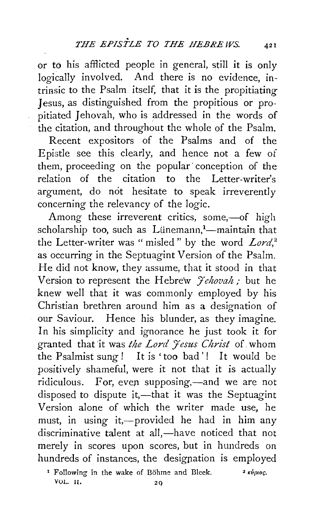or to his afflicted people in general, still it is only logically involved. And there is no evidence, intrinsic to the Psalm itself, that it is the propitiating Jesus, as distinguished from the propitious or propitiated Jehovah, who is addressed in the words of the citation, and throughout the whole of the Psalm.

Recent expositors of the Psalms and of the Epistle see this clearly, and hence not a few of them, proceeding on the popular conception of the relation of the citation to the Letter-writer's argument, do not hesitate to speak irreverently concerning the relevancy of the logic.

Among these irreverent critics, some,-of high scholarship too, such as Lünemann. $<sup>1</sup>$ -maintain that</sup> the Letter-writer was "misled" by the word  $Lord^2$ as occurring in the Septuagint Version of the Psalm. He did not know, they assume, that it stood in that Version to represent the Hebre\v *:Jehovah;* but he knew well that it was commonly employed by his Christian brethren around him as a designation of our Saviour. Hence his blunder, as they imagine. In his simplicity and ignorance he just took it for granted that it was *the Lord Jesus Christ* of whom the Psalmist sung! It is 'too bad'! It would be positively shameful, were it not that it is actually ridiculous. For, even supposing,—and we are not disposed to dispute it,—that it was the Septuagint Version alone of which the writer made use, he must, in using it,—provided he had in him any discriminative talent at all,—have noticed that not merely in scores upon scores, but in hundreds on hundreds of instances, the designation is employed

<sup>&</sup>lt;sup>1</sup> Following in the wake of Böhme and Bleek.  $\frac{2 \kappa v_{\text{pvo}}}{r}$ VOL.  $II, 2Q$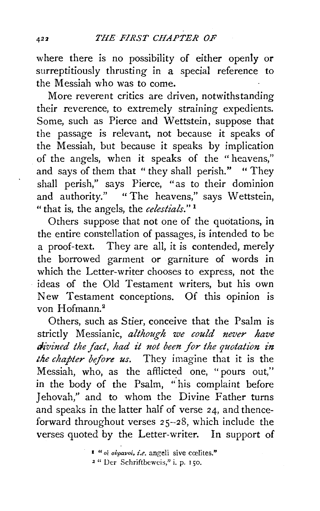where there is no possibility of either openly or surreptitiously thrusting in a special reference to the Messiah who was to come.

More reverent critics are driven, notwithstanding their reverence, to extremely straining expedients. Some, such as Pierce and Wettstein, suppose that the passage is relevant, not because it speaks of the Messiah, but because it speaks by implication of the angels, when it speaks of the " heavens," and says of them that " they shall perish." " They shall perish," says Pierce, "as to their dominion and authority." "The heavens," says Wettstein, "that is, the angels, the *celestials."* <sup>1</sup>

Others suppose that not one of the quotations, in the entire constellation of passages, is intended to be a proof-text. They are all, it *is* contended, merely the borrowed garment or garniture of words in which the Letter-writer chooses to express, not the ideas of the Old Testament writers, but his own New Testament conceptions. Of this opinion is von Hofmann.<sup>2</sup>

Others, such as Stier, conceive that the Psalm is strictly Messianic, *although we could never have*  divined the fact, had it not been for the quotation in *lhe chapter before us.* They imagine that it is the Messiah, who, as the afflicted one, "pours out," in the body of the Psalm, " his complaint before Jehovah," and to whom the Divine Father turns and speaks in the latter half of verse 24, and thenceforward throughout verses 25-28, which include the verses quoted by the Letter-writer. In support of

> <sup>1</sup> " oi *ovpavoi, i.e.* angeli sive cœlites." 2 " Dcr Schriftbcwcis," i. p. 1 *so.*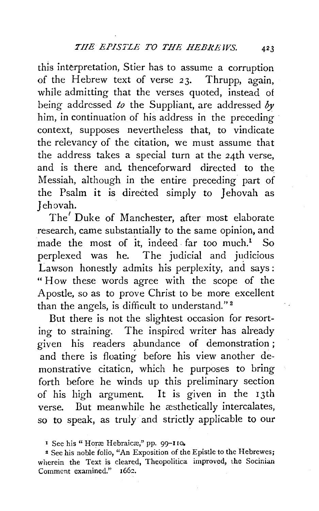this interpretation, Stier has to assume a corruption of the Hebrew text of verse  $23$ . Thrupp, again, while admitting that the verses quoted, instead of being addressed *to* the Suppliant, are addressed *by*  him, in continuation of his address in the preceding context, supposes nevertheless that, to vindicate the relevancy of the citation, we must assume that the address takes a special turn at the  $24$ th verse, and is there and thenceforward directed to the Messiah, although in the entire preceding part of the Psalm it is directed simply to Jehovah as J ehovah.

The' Duke of Manchester, after most elaborate research, came substantially to the same opinion, and made the most of it indeed far too much.<sup>1</sup> So perplexed was he. The judicial and judicious Lawson honestly admits his perplexity, and says: "How these words agree with the scope of the Apostle, so as to prove Christ to be more excellent than the angels, is difficult to understand."<sup>2</sup>

But there is not the slightest occasion for resorting to straining. The inspired writer has already given his readers abundance of demonstration; and there is floating before his view another demonstrative citaticn, which he purposes to bring forth before he winds up this preliminary section of his high argument. It is given in the 13th verse. But meanwhile he æsthetically intercalates, so to speak, as truly and strictly applicable to our

<sup>&</sup>lt;sup>1</sup> See his "Horæ Hebraicæ," pp. 99-110.

<sup>&</sup>lt;sup>2</sup> See his noble folio, "An Exposition of the Epistle to the Hebrewes; wherein the Text is cleared, Theopolitica improved, the Socinian Comment examined." 1662.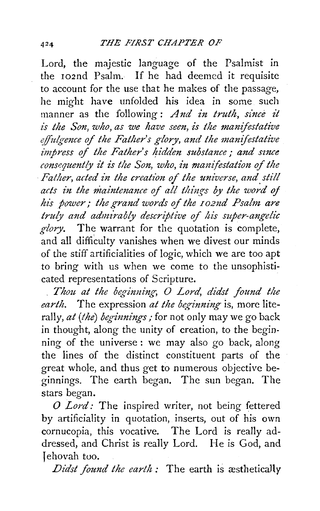Lord, the majestic language of the Psalmist in the ro2nd Psalm. If he had deemed it requisite to account for the use that he makes of the passage, he might have unfolded his idea in some such manner as the following: *And in truth, since it is the Son, who, as we have seen, is the manifestative effulgence of the Father's glory, and the manifestative*  impress of the Father's hidden substance; and since *consequently it is the Son, who, in manifestation of the Father, acted in the creation of the universe, and. still*  acts in the maintenance of all things by the word of his power; the grand words of the 102nd Psalm are *truly mzd admz'rably descriptive of his super-angelic glory.* The warrant for the quotation is complete, and all difficulty vanishes when we divest our minds of the stiff artificialities of logic, which we are too apt to bring with us when we come to the unsophisticated representations of Scripture.

*Thou at the beginning, 0 Lord, didst found the earth.* The expression *at the beginning* is, more literally, *at (the) beginnings*; for not only may we go back in thought, along the unity of creation, to the beginning of the universe : we may also go back, along the lines of the distinct constituent parts of the great whole, and thus get to numerous objective beginnings. The earth began. The sun began. The stars began.

*0 Lord:* The inspired writer, not being fettered by artificiality in quotation, inserts, out of his own cornucopia, this vocative. The Lord is really addressed, and Christ is really Lord. He is God, and l ehovah too.

*Didst found the earth*: The earth is *asthetically*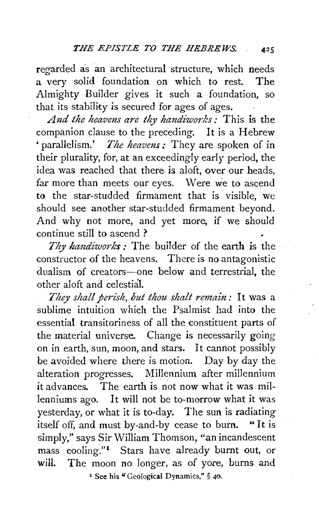regarded as an architectural structure, which needs a very solid foundation on which to rest. The Almighty Builder gives it such a foundation, so that its stability *is* secured for ages of ages.

*And the heavens are thy handiworks :* This is the companion clause to the preceding. It is a Hebrew ' parallelism.' *The heavens:* They are spoken of in their plurality, for, at an exceedingly early period, the idea was reached that there. *is* aloft, over our heads, far more than meets our eyes. Were we to ascend to the star-studded firmament that is visible, we should see another star-studded firmament beyond. And why not more, and yet more, if we should continue still to ascend ?

*Thy handiworks :* The builder of the earth is the constructor of the heavens. There is no antagonistic dualism of creators-one below and terrestrial, the other aloft and celestial

*They shall perish, but thou shalt remain :* It was a sublime intuition which the Psalmist had into the essential transitoriness of all the constituent parts of the material universe. Change is necessarily going on in earth, sun, moon, and stars. It cannot possibly be avoided where there is motion. Day by day the alteration progresses. Millennium after millennium it advances. The earth is not now what it was millenniums ago. It will not be to-morrow what it was yesterday, or what it is to-day. The sun is radiating itself off, and must by-and-by cease to burn. "It is simply," says Sir William Thomson, "an incandescent mass cooling."<sup>1</sup> Stars have already burnt out, or will. The moon no longer, as of yore, burns and <sup>1</sup> See his <sup>4</sup> Geological Dynamics," § 40.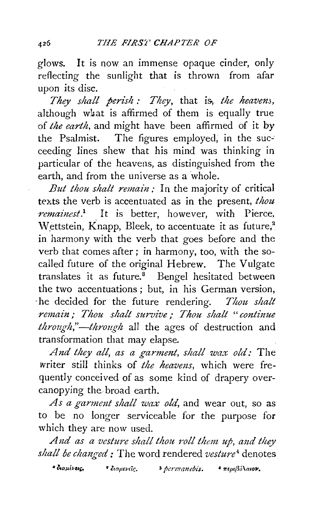glows. It is now an immense opaque cinder, only reflecting the sunlight that is thrown from afar upon its disc.

*They shall perish: They, that is, the heavens,* although what is affirmed of them is equally true of *the earth,* and might have been affirmed of it by the Psalmist. The figures employed, in the succeeding lines shew that his mind was thinking in particular of the heavens, as distinguished from the earth, and from the universe as a 'whole.

*But thou shalt remain:* In the majority of critical texts the verb is accentuated as in the present, *thou remainest.1* It is better, however, with Pierce, Wettstein, Knapp, Bleek, to accentuate it as future,<sup>2</sup> in harmony with the verb that goes before and the verb that comes after ; in harmony, too, with the socalled future of the original Hebrew. The Vulgate translates it as future.<sup>8</sup> Bengel hesitated between the two accentuations ; but, in his German version, ·he decided for the future rendering. *Thou shalt remain; Thou shalt survive; Thou shalt "continue*  through,"-through all the ages of destruction and transformation that may elapse.

*And they all, as a garment, shall wax old:* The writer still thinks of *the heavens*, which were frequently conceived of as some kind of drapery overcanopying the broad earth.

As a garment shall wax old, and wear out, so as to be no longer serviceable for the purpose for which they are now used.

And as a vesture shall thou roll them up, and they *shall be changed*: The word rendered *vesture*<sup>4</sup> denotes

· diauiveic. • διαμενείς.  $\delta$ *permanebis.* **4 περιβόλαιον.**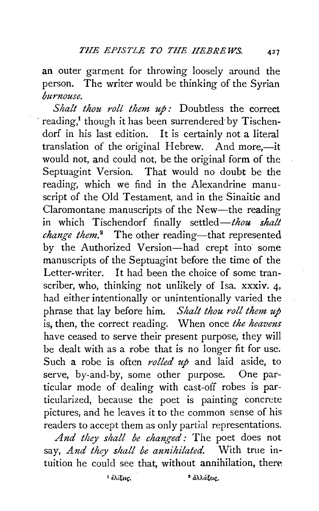an outer garment for throwing loosely around the person. The writer would be thinking of the Syrian *burnouse.* 

*Shalt thou rolt them up:* Doubtless the correct reading,<sup>1</sup> though it has been surrendered by Tischendorf in his last edition. It is certainly not a literal translation of the original Hebrew. And more,---it would not, and could not, be the original form of the Septuagint Version. That would no doubt be the reading, which we find in the Alexandrine manuscript of the Old Testament, and in the Sinaitic and Claromontane manuscripts of the New-the reading in which Tischendorf finally settled-thou shalt *change them.*<sup>2</sup> The other reading—that represented by the Authorized Version-had crept into some manuscripts of the Septuagint before the time of the Letter-writer. It had been the choice of some transcriber, who, thinking not unlikely of Isa. xxxiv. 4, had either intentionally or unintentionally varied the phrase that lay before him. *Shalt thou roll them up*  is, then, the correct reading. When once *the heavens*  have ceased to serve their present purpose, they will be dealt with as a robe that is no longer fit for use. Such a robe is often *rolled up* and laid aside, to serve, by-and-by, some other purpose. One particular mode of dealing with cast-off robes is particularized, because the poet is painting concrete pictures, and he leaves it to the common sense of his readers to accept them as only partial representations.

*And they shall be changed:* The poet does not say, *And they shall be annihilated.* With true intuition he could see that, without annihilation, there

 $1$  ελίξεις.

<sup>2</sup> άλλά ξεις.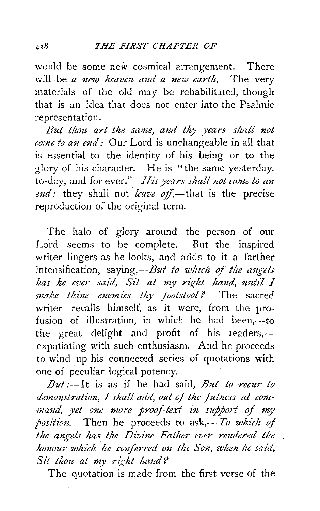would be some new cosmical arrangement. There will be *a new heaven and a new earth*. The very materials of the old may be rehabilitated, though that is an idea that does not enter into the Psalmic representation.

But thou art the same, and thy years shall not *come to an end:* Our Lord is unchangeable in all that is essential to the identity of his being or to the glory of his character. He is "the same yesterday, to-day, and for ever." *1£is years shall not come to an*  end: they shall not *leave off*,—that is the precise reproduction of the original term.

The halo of glory around the person of our Lord seems to be complete. But the inspired writer lingers as he looks, and adds to it a farther intensification, saying,—*But to which of the angels* has he ever said, Sit at my right hand, until I make thine enemies thy footstool? The sacred writer recalls himself, as it were, from the profusion of illustration, in which he had been,—to the great delight and profit of his readers, $$ expatiating with such enthusiasm. And he proceeds to wind up his connected series of quotations with one of peculiar logical potency.

 $But :=$  It is as if he had said, *But to recur to* demonstration, I shall add, out of the fulness at com*mand, yet one more proof-text in support of my position.* Then he proceeds to ask,— To which of *the angels has the Divine Father ever rendered the honour which he conferred on the Son, when he said, Sit thou at my right hand?* 

The quotation is made from the first verse of the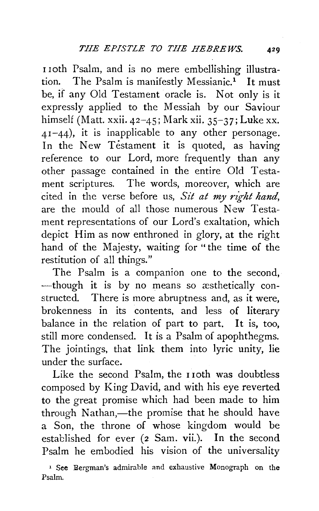1 1oth Psalm, and is no mere embellishing illustration. The Psalm is manifestly Messianic.<sup>1</sup> It must be, if any Old Testament oracle is. Not only is it expressly applied to the Messiah by our Saviour himself (Matt. xxii. 42–45; Mark xii. 35–37; Luke xx.  $41-44$ ), it is inapplicable to any other personage. In the New Testament it is quoted, as having reference to our Lord, more frequently than any other passage contained in the entire Old Testament scriptures. The words, moreover, which are cited in the verse before us, *Sit at my right hand,*  are the mould of all those numerous New Testament representations of our Lord's exaltation, which depict Him as now enthroned in glory, at the right hand of the Majesty, waiting for "the time of the restitution of all things."

The Psalm is a companion one to the second, -though it is by no means so æsthetically constructed. There is more abruptness and, as it were, brokenness in its contents, and less of literary balance in the relation of part to part. It is, too, still more condensed. It is a Psalm of apophthegms. The jointings, that link them into lyric unity, lie under the surface.

Like the second Psalm, the  $i$  roth was doubtless composed by King David, and with his eye reverted to the great promise which had been made to him through Nathan,-the promise that he should have a Son, the throne of whose kingdom would be established for ever (2 Sam. vii.). In the second Psalm he embodied his vision of the universality

<sup>1</sup> See Bergman's admirable and exhaustive Monograph on the Psalm.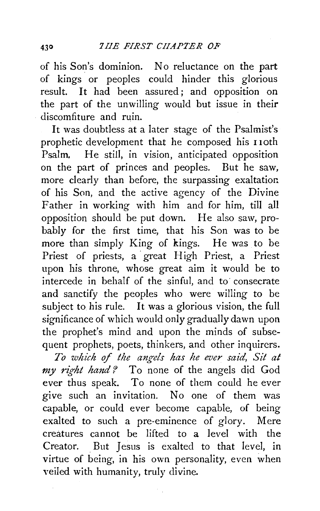of his Son's dominion. No reluctance on the part of kings or peoples could hinder this glorious result. It had been assured; and opposition on the part of the unwilling would but issue in their discomfiture and ruin.

It was doubtless at a later stage of the Psalmist's prophetic development that he composed his 1 10th Psalm. He still, in vision, anticipated opposition on the part of princes and peoples. But he saw, more clearly than before, the surpassing exaltation of his Son, and the active agency of the Divine Father in working with him and for him, till all opposition should be put down. He also saw, probably for the first time, that his Son was to be more than simply King of kings. He was to be Priest of priests, a great High Priest, a Priest upon his throne, whose great aim it would be to intercede in behalf of the sinful, and to consecrate and sanctify the peoples who were willing to be subject to his rule. It was a glorious vision, the full significance of which would only gradually dawn upon the prophet's mind and upon the minds of subsequent prophets, poets, thinkers, and other inquirers.

*To which of the angels has he ever said, Sit at my right hand?* To none of the angels did God ever thus speak. To none of them could he ever give such an invitation. No one of them was capable, or could ever become capable, of being exalted to such a pre-eminence of glory. Mere creatures cannot be lifted to a level with the Creator. But Jesus is exalted to that level, in virtue of being, in his own personality, even when veiled with humanity, truly divine.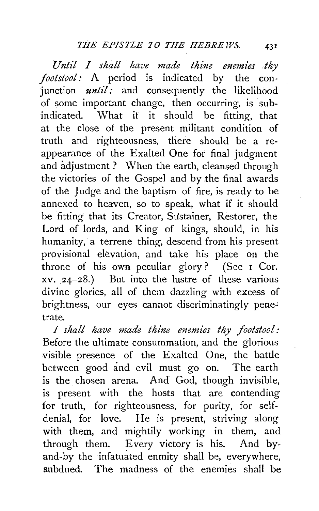*Until I shall have made thine enemies* . *thy footstool:* A period is indicated by the conjunction *until*: and consequently the likelihood of some important change, then occurring, is subindicated. What if it should be fitting, that at the close of the present militant condition of truth and righteousness, there should be a reappearance of the Exalted One for final judgment and adjustment ? When the earth, cleansed through the victories of the Gospel and by the final awards of the Judge and the baptism of fire, is ready to be annexed to heaven, so to speak, what if it should be fitting that its Creator, Sustainer, Restorer, the Lord of lords, and King of kings, should, in his humanity, a terrene thing, descend from his present provisional elevation, and take his place on the throne of his own peculiar glory? (See 1 Cor. xv. 24-28.) But into the lustre of these various divine glories, all of them dazzling with excess of brightness, our eyes cannot discriminatingly penetrate.

*1 shall have made thine enemies thy footstool:*  Before the ultimate consummation, and the glorious visible presence of the Exalted One, the battle between good and evil must go on. The earth is the chosen arena. And God, though invisible, is present with the hosts that are contending for truth, for righteousness, for purity, for selfdenial, for love. He is present, striving along with them, and mightily working in them, and through them. Every victory is his. And byand-by the infatuated enmity shall be, everywhere, subdued. The madness of the enemies shall be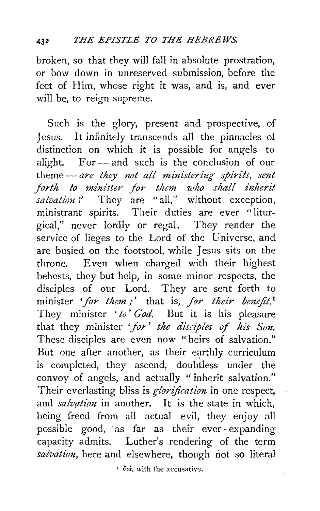## 432 *THE EPISTLE TO THE HEBREWS.*

broken, so that they will fall in absolute prostration, or bow down in unreserved submission, before the feet of Him, whose right it was, and is, and ever will be, to reign supreme.

Such is the glory, present and prospective, of Jesus. It infinitely transcends all the pinnacles of distinction on which it is possible for angels to alight. For - and such is the conclusion of our theme - are they not all ministering spirits, sent *forth to minister for them who shall inherit salvation ?* They are "all," without exception, ministrant spirits. Their duties are ever "liturgical," never lordly or regal. They render the service of lieges to the Lord of the Universe, and are busied on the footstool, while Jesus sits on the throne. Even when charged with their highest behests, they but help, in some minor respects, the disciples of our Lord. They are sent forth to minister 'for them ;' that is, for their benefit.<sup>1</sup> They minister 'to' God. But it is his pleasure that they minister 'for' the disciples of his Son. These disciples are even now "heirs of salvation." But one after another, as their earthly curriculum is completed, they ascend, doubtless under the convoy of angels, and actually "inherit salvation." Their everlasting bliss is *glorification* in one respect, and *salvation* in another. It is the state in which, being freed from all actual evil, they enjoy all possible good, as far as their ever- expanding capacity admits. Luther's rendering of the term salvation, here and elsewhere, though not so literal

<sup>1</sup>  $\delta t \dot{a}$ , with the accusative.